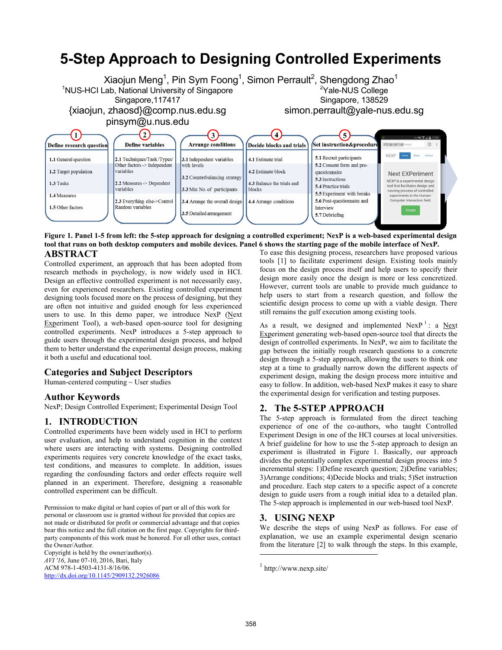# **5-Step Approach to Designing Controlled Experiments**



#### <span id="page-0-0"></span>**Figure 1. Panel 1-5 from left: the 5-step approach for designing a controlled experiment; NexP is a web-based experimental design tool that runs on both desktop computers and mobile devices. Panel 6 shows the starting page of the mobile interface of NexP. ABSTRACT** To ease this designing process, researchers have proposed various

Controlled experiment, an approach that has been adopted from research methods in psychology, is now widely used in HCI. Design an effective controlled experiment is not necessarily easy, even for experienced researchers. Existing controlled experiment designing tools focused more on the process of designing, but they are often not intuitive and guided enough for less experienced users to use. In this demo paper, we introduce NexP ( $N$ ext Experiment Tool), a web-based open-source tool for designing controlled experiments. NexP introduces a 5-step approach to guide users through the experimental design process, and helped them to better understand the experimental design process, making it both a useful and educational tool.

## **Categories and Subject Descriptors**

Human-centered computing ~ User studies

#### **Author Keywords**

NexP; Design Controlled Experiment; Experimental Design Tool

## **1. INTRODUCTION**

Controlled experiments have been widely used in HCI to perform user evaluation, and help to understand cognition in the context where users are interacting with systems. Designing controlled experiments requires very concrete knowledge of the exact tasks, test conditions, and measures to complete. In addition, issues regarding the confounding factors and order effects require well planned in an experiment. Therefore, designing a reasonable controlled experiment can be difficult.

Permission to make digital or hard copies of part or all of this work for personal or classroom use is granted without fee provided that copies are not made or distributed for profit or commercial advantage and that copies bear this notice and the full citation on the first page. Copyrights for thirdparty components of this work must be honored. For all other uses, contact the Owner/Author.

Copyright is held by the owner/author(s). *AVI '16*, June 07-10, 2016, Bari, Italy ACM 978-1-4503-4131-8/16/06. <http://dx.doi.org/10.1145/2909132.2926086> tools [\[1\]](#page-1-0) to facilitate experiment design. Existing tools mainly focus on the design process itself and help users to specify their design more easily once the design is more or less concretized. However, current tools are unable to provide much guidance to help users to start from a research question, and follow the scientific design process to come up with a viable design. There still remains the gulf execution among existing tools.

As a result, we designed and implemented  $Nexp^{-1}$ : a  $Next$ Experiment generating web-based open-source tool that directs the design of controlled experiments. In NexP, we aim to facilitate the gap between the initially rough research questions to a concrete design through a 5-step approach, allowing the users to think one step at a time to gradually narrow down the different aspects of experiment design, making the design process more intuitive and easy to follow. In addition, web-based NexP makes it easy to share the experimental design for verification and testing purposes.

#### **2. The 5-STEP APPROACH**

The 5-step approach is formulated from the direct teaching experience of one of the co-authors, who taught Controlled Experiment Design in one of the HCI courses at local universities. A brief guideline for how to use the 5-step approach to design an experiment is illustrated in [Figure 1.](#page-0-0) Basically, our approach divides the potentially complex experimental design process into 5 incremental steps: 1)Define research question; 2)Define variables; 3)Arrange conditions; 4)Decide blocks and trials; 5)Set instruction and procedure. Each step caters to a specific aspect of a concrete design to guide users from a rough initial idea to a detailed plan. The 5-step approach is implemented in our web-based tool NexP.

#### **3. USING NEXP**

We describe the steps of using NexP as follows. For ease of explanation, we use an example experimental design scenario from the literature [\[2\]](#page-1-1) to walk through the steps. In this example,

1 http://www.nexp.site/